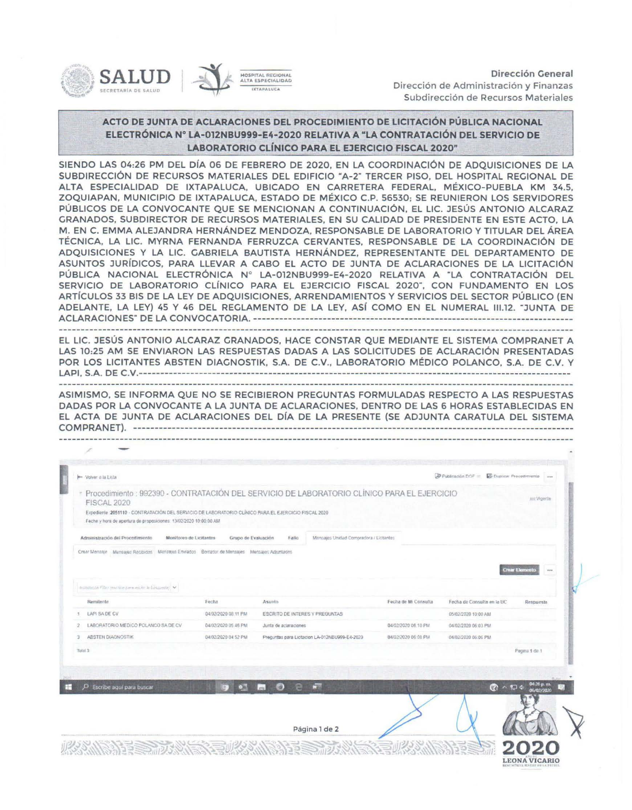



## ACTO DE JUNTA DE ACLARACIONES DEL PROCEDIMIENTO DE LICITACIÓN PÚBLICA NACIONAL ELECTRÓNICA Nº LA-012NBU999-E4-2020 RELATIVA A "LA CONTRATACIÓN DEL SERVICIO DE LABORATORIO CLÍNICO PARA EL EJERCICIO FISCAL 2020"

SIENDO LAS 04:26 PM DEL DÍA 06 DE FEBRERO DE 2020, EN LA COORDINACIÓN DE ADQUISICIONES DE LA SUBDIRECCIÓN DE RECURSOS MATERIALES DEL EDIFICIO "A-2" TERCER PISO, DEL HOSPITAL REGIONAL DE ALTA ESPECIALIDAD DE IXTAPALUCA, UBICADO EN CARRETERA FEDERAL, MÉXICO-PUEBLA KM 34.5, ZOQUIAPAN, MUNICIPIO DE IXTAPALUCA, ESTADO DE MÉXICO C.P. 56530; SE REUNIERON LOS SERVIDORES PÚBLICOS DE LA CONVOCANTE QUE SE MENCIONAN A CONTINUACIÓN, EL LIC. JESÚS ANTONIO ALCARAZ GRANADOS, SUBDIRECTOR DE RECURSOS MATERIALES, EN SU CALIDAD DE PRESIDENTE EN ESTE ACTO, LA M. EN C. EMMA ALEJANDRA HERNÁNDEZ MENDOZA, RESPONSABLE DE LABORATORIO Y TITULAR DEL ÁREA TÉCNICA, LA LIC. MYRNA FERNANDA FERRUZCA CERVANTES, RESPONSABLE DE LA COORDINACIÓN DE ADQUISICIONES Y LA LIC. GABRIELA BAUTISTA HERNÁNDEZ, REPRESENTANTE DEL DEPARTAMENTO DE ASUNTOS JURÍDICOS, PARA LLEVAR A CABO EL ACTO DE JUNTA DE ACLARACIONES DE LA LICITACIÓN PÚBLICA NACIONAL ELECTRÓNICA Nº LA-012NBU999-E4-2020 RELATIVA A "LA CONTRATACIÓN DEL SERVICIO DE LABORATORIO CLÍNICO PARA EL EJERCICIO FISCAL 2020", CON FUNDAMENTO EN LOS ARTÍCULOS 33 BIS DE LA LEY DE ADQUISICIONES, ARRENDAMIENTOS Y SERVICIOS DEL SECTOR PÚBLICO (EN ADELANTE, LA LEY) 45 Y 46 DEL REGLAMENTO DE LA LEY, ASÍ COMO EN EL NUMERAL 111.12. "JUNTA DE ACLARACIONES" DE LA CONVOCATORIA. - ------------------------------------- ------------- - ----------------------

the company of the contract of the contract of the contract of the contract of the contract of the contract of

EL LIC. JESÚS ANTONIO ALCARAZ GRANADOS, HACE CONSTAR QUE MEDIANTE EL SISTEMA COMPRANET A LAS 10:25 AM SE ENVIARON LAS RESPUESTAS DADAS A LAS SOLICITUDES DE ACLARACIÓN PRESENTADAS POR LOS LICITANTES ABSTEN DIAGNOSTIK, S.A. DE C.V., LABORATORIO MÉDICO POLANCO, S.A. DE C.V. Y LAPI, S.A. DE C.V.------ - - - ------------------------------- --------------- - ------------------ ------ ------ - ------ - - -----

ASIMISMO, SE INFORMA QUE NO SE RECIBIERON PREGUNTAS FORMULADAS RESPECTO A LAS RESPUESTAS DADAS POR LA CONVOCANTE A LA JUNTA DE ACLARACIONES, DENTRO DE LAS 6 HORAS ESTABLECIDAS EN EL ACTA DE JUNTA DE ACLARACIONES DEL DÍA DE LA PRESENTE (SE ADJUNTA CARATULA DEL SISTEMA COMPRAN ET). - ----- - --- --- - --- --- - - - - - - - - - - - - - - - - - --- - - - - - - --- ------- --- - - -- -- - ------- - - - - -- - - --- --- - - - - - - - --- - - ---

| Volver a la Lista                                                                                                                                                                       |                                |                                                                                               |                      | Publicación DOF = El Duplicar Procedimiento |                                           |
|-----------------------------------------------------------------------------------------------------------------------------------------------------------------------------------------|--------------------------------|-----------------------------------------------------------------------------------------------|----------------------|---------------------------------------------|-------------------------------------------|
| FISCAL 2020<br>Expediente 2051110 - CONTRATACIÓN DEL SERVICIO DE LABORATORIO CLÍNICO PARA EL EJERCICIO FISCAL 2020<br>Fecha y hora de apertura de proposiciones: 13/02/2020 10:00:00 AM |                                | * Procedimiento : 992390 - CONTRATACIÓN DEL SERVICIO DE LABORATORIO CLÍNICO PARA EL EJERCICIO |                      |                                             | uic Vigente                               |
| Administración del Procedimiento<br>Monitoreo de Licitantes                                                                                                                             | Grupo de Evaluación            | Mensajes Unidad Compradora / Licitantes<br>Fallo                                              |                      |                                             |                                           |
| Crear Mensaje Mensajes Recibidos Mensajes Enviados Borrador de Mensajes Mensajes Adjuntatios                                                                                            |                                |                                                                                               |                      |                                             | <b>Crear Elemento</b><br>100 <sup>2</sup> |
| estimatican Films associate para miche la bioguesta. V<br>Remitente                                                                                                                     | Fecha                          | Asunto                                                                                        | Fecha de Mi Consulta | Fecha de Consulta en la UC                  | Respuesta                                 |
| LAPI SA DE CV                                                                                                                                                                           | 04/02/2020 08:11 PM            | ESCRITO DE INTERES Y PREGUNTAS                                                                |                      | 05/02/2020 10:00 AM                         |                                           |
| LABORATORIO MEDICO POLANCO SA DE CV                                                                                                                                                     | 04/02/2020 05:46 PM            | Junta de aciaraciones                                                                         | 04/02/2020 06:10 PM  | 04/02/2020 06:03 PM                         |                                           |
| <b>ABSTEN DIAGNOSTIK</b>                                                                                                                                                                | 04/02/2020 04 52 PM            | Preguntas para Licitacion LA-012NBU999-E4-2020                                                | 04/02/2020 06:08 PM  | 04/02/2020 06:06 PM                         |                                           |
| Total 3                                                                                                                                                                                 |                                |                                                                                               |                      |                                             | Pacina 1 de 1                             |
|                                                                                                                                                                                         |                                |                                                                                               |                      |                                             |                                           |
| O.<br>Escribe aguí para buscar                                                                                                                                                          | $p_{\text{eff}}$<br><b>ROU</b> | <b>KEN</b><br>最佳<br>€<br>$\left\lfloor \frac{1}{2} \right\rfloor$                             |                      | $\mathbb{Q}$                                | 04:26 p. m<br>△ 四 中<br>06/02/2020         |
|                                                                                                                                                                                         |                                | Página 1 de 2                                                                                 |                      |                                             |                                           |